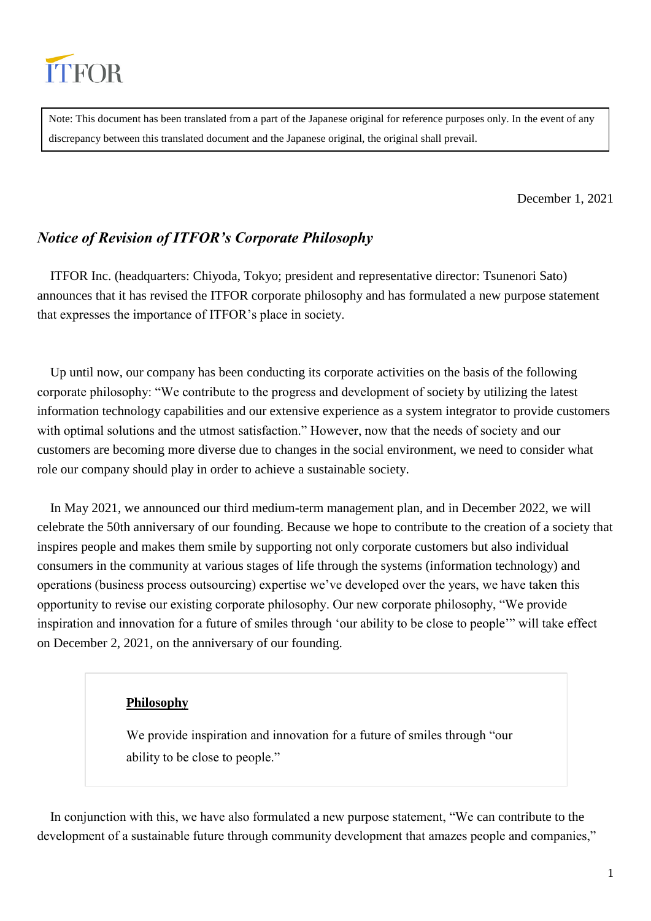

Note: This document has been translated from a part of the Japanese original for reference purposes only. In the event of any discrepancy between this translated document and the Japanese original, the original shall prevail.

December 1, 2021

# *Notice of Revision of ITFOR's Corporate Philosophy*

ITFOR Inc. (headquarters: Chiyoda, Tokyo; president and representative director: Tsunenori Sato) announces that it has revised the ITFOR corporate philosophy and has formulated a new purpose statement that expresses the importance of ITFOR's place in society.

Up until now, our company has been conducting its corporate activities on the basis of the following corporate philosophy: "We contribute to the progress and development of society by utilizing the latest information technology capabilities and our extensive experience as a system integrator to provide customers with optimal solutions and the utmost satisfaction." However, now that the needs of society and our customers are becoming more diverse due to changes in the social environment, we need to consider what role our company should play in order to achieve a sustainable society.

In May 2021, we announced our third medium-term management plan, and in December 2022, we will celebrate the 50th anniversary of our founding. Because we hope to contribute to the creation of a society that inspires people and makes them smile by supporting not only corporate customers but also individual consumers in the community at various stages of life through the systems (information technology) and operations (business process outsourcing) expertise we've developed over the years, we have taken this opportunity to revise our existing corporate philosophy. Our new corporate philosophy, "We provide inspiration and innovation for a future of smiles through 'our ability to be close to people'" will take effect on December 2, 2021, on the anniversary of our founding.

### **Philosophy**

We provide inspiration and innovation for a future of smiles through "our ability to be close to people."

In conjunction with this, we have also formulated a new purpose statement, "We can contribute to the development of a sustainable future through community development that amazes people and companies,"